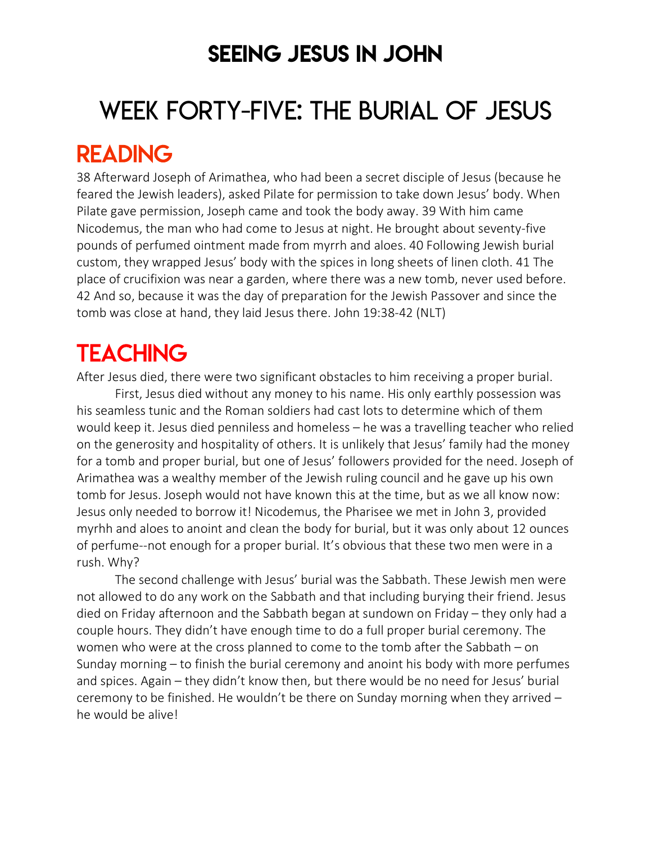## SEEING JESUS IN JOHN

# WEEK FORTY-FIVE: THE BURIAL OF JESUS

## READING

38 Afterward Joseph of Arimathea, who had been a secret disciple of Jesus (because he feared the Jewish leaders), asked Pilate for permission to take down Jesus' body. When Pilate gave permission, Joseph came and took the body away. 39 With him came Nicodemus, the man who had come to Jesus at night. He brought about seventy-five pounds of perfumed ointment made from myrrh and aloes. 40 Following Jewish burial custom, they wrapped Jesus' body with the spices in long sheets of linen cloth. 41 The place of crucifixion was near a garden, where there was a new tomb, never used before. 42 And so, because it was the day of preparation for the Jewish Passover and since the tomb was close at hand, they laid Jesus there. John 19:38-42 (NLT)

## **TEACHING**

After Jesus died, there were two significant obstacles to him receiving a proper burial.

First, Jesus died without any money to his name. His only earthly possession was his seamless tunic and the Roman soldiers had cast lots to determine which of them would keep it. Jesus died penniless and homeless – he was a travelling teacher who relied on the generosity and hospitality of others. It is unlikely that Jesus' family had the money for a tomb and proper burial, but one of Jesus' followers provided for the need. Joseph of Arimathea was a wealthy member of the Jewish ruling council and he gave up his own tomb for Jesus. Joseph would not have known this at the time, but as we all know now: Jesus only needed to borrow it! Nicodemus, the Pharisee we met in John 3, provided myrhh and aloes to anoint and clean the body for burial, but it was only about 12 ounces of perfume--not enough for a proper burial. It's obvious that these two men were in a rush. Why?

The second challenge with Jesus' burial was the Sabbath. These Jewish men were not allowed to do any work on the Sabbath and that including burying their friend. Jesus died on Friday afternoon and the Sabbath began at sundown on Friday – they only had a couple hours. They didn't have enough time to do a full proper burial ceremony. The women who were at the cross planned to come to the tomb after the Sabbath – on Sunday morning – to finish the burial ceremony and anoint his body with more perfumes and spices. Again – they didn't know then, but there would be no need for Jesus' burial ceremony to be finished. He wouldn't be there on Sunday morning when they arrived – he would be alive!